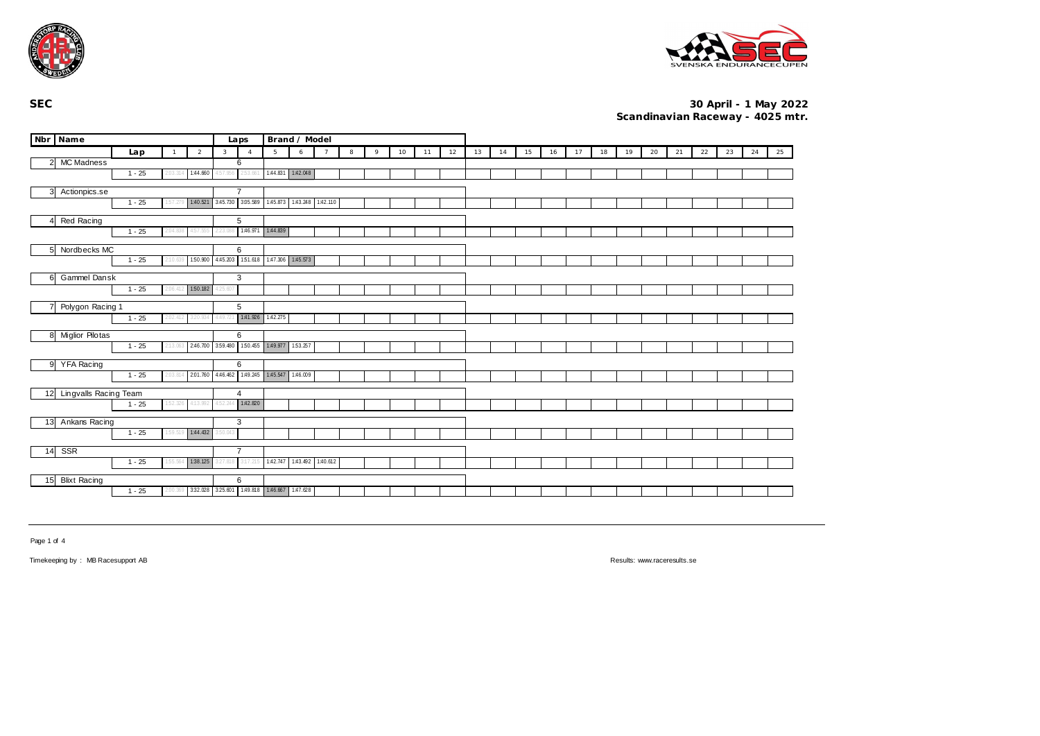



| Nbr Name                                       |          |                | Laps                                | Brand / Model |                                                       |                            |   |                |   |   |    |    |    |    |    |    |    |    |    |    |    |    |    |    |    |    |
|------------------------------------------------|----------|----------------|-------------------------------------|---------------|-------------------------------------------------------|----------------------------|---|----------------|---|---|----|----|----|----|----|----|----|----|----|----|----|----|----|----|----|----|
|                                                | Lap      | $\overline{1}$ | $\overline{2}$                      | $\mathbf{3}$  | $\overline{4}$                                        | 5                          | 6 | $\overline{7}$ | 8 | 9 | 10 | 11 | 12 | 13 | 14 | 15 | 16 | 17 | 18 | 19 | 20 | 21 | 22 | 23 | 24 | 25 |
| <b>MC Madness</b><br>$\overline{2}$            |          |                |                                     |               | 6                                                     |                            |   |                |   |   |    |    |    |    |    |    |    |    |    |    |    |    |    |    |    |    |
|                                                | $1 - 25$ | 2:03.314       | 1:44.660                            | 4:57.956      | 2:53.661                                              | 1:44.831 1:42.048          |   |                |   |   |    |    |    |    |    |    |    |    |    |    |    |    |    |    |    |    |
| 3<br>Actionpics.se                             |          | $\overline{7}$ |                                     |               |                                                       |                            |   |                |   |   |    |    |    |    |    |    |    |    |    |    |    |    |    |    |    |    |
|                                                | $1 - 25$ | 1:57.279       | 1:40.521 3:45.730 3:05.589          |               |                                                       | 1.45.873 1.43.248 1.42.110 |   |                |   |   |    |    |    |    |    |    |    |    |    |    |    |    |    |    |    |    |
| $\overline{4}$                                 |          |                | 5                                   |               |                                                       |                            |   |                |   |   |    |    |    |    |    |    |    |    |    |    |    |    |    |    |    |    |
| Red Racing<br>$1 - 25$<br>2:04.838<br>4:57.55! |          |                |                                     |               | 1:46.971                                              | 1:44.839                   |   |                |   |   |    |    |    |    |    |    |    |    |    |    |    |    |    |    |    |    |
|                                                |          |                |                                     |               |                                                       |                            |   |                |   |   |    |    |    |    |    |    |    |    |    |    |    |    |    |    |    |    |
| 5 <sub>5</sub><br>Nordbecks MC                 |          |                | 6                                   |               |                                                       |                            |   |                |   |   |    |    |    |    |    |    |    |    |    |    |    |    |    |    |    |    |
|                                                | $1 - 25$ | 2:10.639       | 150.900 4:45.203                    |               |                                                       | 151.618 1.47.306 1.45.573  |   |                |   |   |    |    |    |    |    |    |    |    |    |    |    |    |    |    |    |    |
| Gammel Dansk<br>6                              |          |                |                                     |               | 3                                                     |                            |   |                |   |   |    |    |    |    |    |    |    |    |    |    |    |    |    |    |    |    |
|                                                | $1 - 25$ | 2:06.412       | 150.182                             | 25.607        |                                                       |                            |   |                |   |   |    |    |    |    |    |    |    |    |    |    |    |    |    |    |    |    |
| Polygon Racing 1                               |          |                | 5                                   |               |                                                       |                            |   |                |   |   |    |    |    |    |    |    |    |    |    |    |    |    |    |    |    |    |
|                                                | $1 - 25$ | 2:02.412       | 3:20.934                            | 4:49.721      | 1:41.926 1:42.275                                     |                            |   |                |   |   |    |    |    |    |    |    |    |    |    |    |    |    |    |    |    |    |
|                                                |          |                |                                     |               |                                                       |                            |   |                |   |   |    |    |    |    |    |    |    |    |    |    |    |    |    |    |    |    |
| 8 Miglior Pilotas                              | $1 - 25$ |                | 2:13.063 2:46.700 3:59.480 1:50.455 |               | 6                                                     | 1:49.977 1:53.257          |   |                |   |   |    |    |    |    |    |    |    |    |    |    |    |    |    |    |    |    |
|                                                |          |                |                                     |               |                                                       |                            |   |                |   |   |    |    |    |    |    |    |    |    |    |    |    |    |    |    |    |    |
| 9<br><b>YFA Racing</b>                         |          |                |                                     |               | 6                                                     |                            |   |                |   |   |    |    |    |    |    |    |    |    |    |    |    |    |    |    |    |    |
|                                                | $1 - 25$ | 2:03.814       |                                     |               | 2.01.760 4.46.462 1.49.245 1.45.547 1.46.009          |                            |   |                |   |   |    |    |    |    |    |    |    |    |    |    |    |    |    |    |    |    |
| 12<br>Lingvalls Racing Team                    |          |                |                                     |               | $\overline{4}$                                        |                            |   |                |   |   |    |    |    |    |    |    |    |    |    |    |    |    |    |    |    |    |
|                                                | $1 - 25$ | 1:52.326       | 4:13.992                            | 4:52.244      | 1:42.820                                              |                            |   |                |   |   |    |    |    |    |    |    |    |    |    |    |    |    |    |    |    |    |
|                                                |          |                |                                     |               |                                                       |                            |   |                |   |   |    |    |    |    |    |    |    |    |    |    |    |    |    |    |    |    |
| 13<br>Ankans Racing                            | 3:50.043 | 3              |                                     |               |                                                       |                            |   |                |   |   |    |    |    |    |    |    |    |    |    |    |    |    |    |    |    |    |
|                                                | 1:44.432 |                |                                     |               |                                                       |                            |   |                |   |   |    |    |    |    |    |    |    |    |    |    |    |    |    |    |    |    |
| SSR<br>14                                      | 3:27.818 | $\overline{7}$ |                                     |               |                                                       |                            |   |                |   |   |    |    |    |    |    |    |    |    |    |    |    |    |    |    |    |    |
| 155.564 138.125<br>$1 - 25$                    |          |                |                                     |               | 3:17.215                                              | 1:42.747 1:43.492 1:40.612 |   |                |   |   |    |    |    |    |    |    |    |    |    |    |    |    |    |    |    |    |
| 15<br><b>Blixt Racing</b>                      |          |                |                                     |               | 6                                                     |                            |   |                |   |   |    |    |    |    |    |    |    |    |    |    |    |    |    |    |    |    |
|                                                | $1 - 25$ |                |                                     |               | 2.00.369 3:32.028 3:25.601 1:49.818 1:46.667 1:47.628 |                            |   |                |   |   |    |    |    |    |    |    |    |    |    |    |    |    |    |    |    |    |
|                                                |          |                |                                     |               |                                                       |                            |   |                |   |   |    |    |    |    |    |    |    |    |    |    |    |    |    |    |    |    |

Page 1 of 4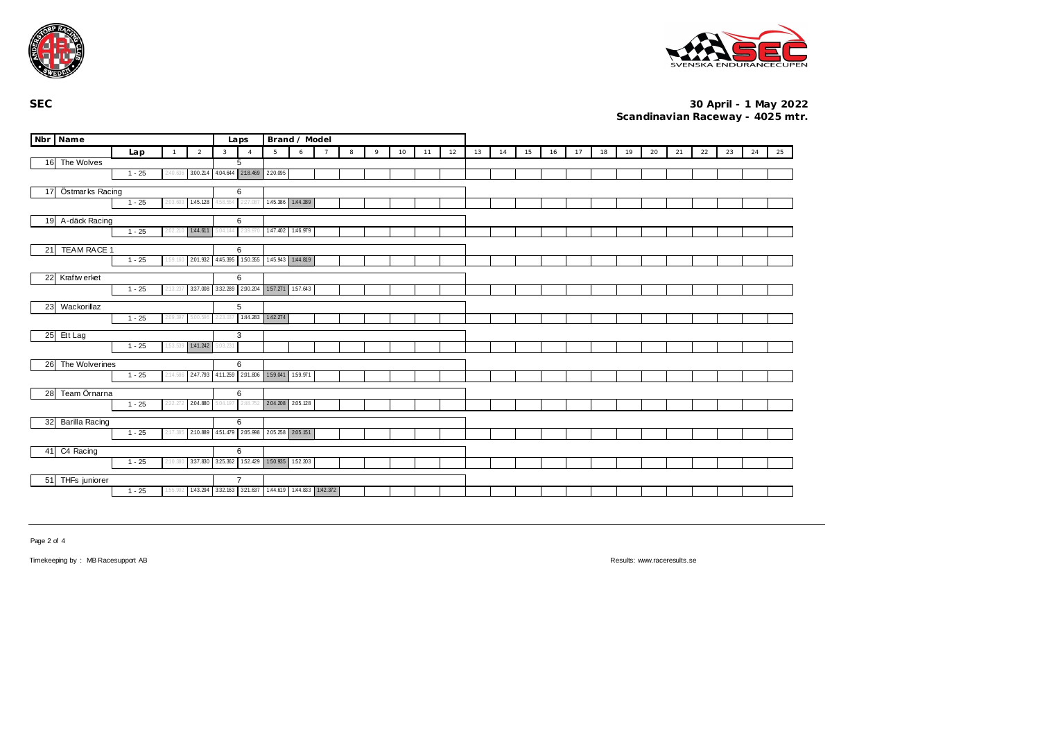



|                          | Nbr Name              |          |                |                  | Brand / Model<br>Laps |                                            |                   |          |                |   |   |    |    |    |    |    |    |    |    |    |    |    |    |    |    |    |    |
|--------------------------|-----------------------|----------|----------------|------------------|-----------------------|--------------------------------------------|-------------------|----------|----------------|---|---|----|----|----|----|----|----|----|----|----|----|----|----|----|----|----|----|
|                          |                       | Lap      | $\overline{1}$ | $\overline{2}$   | $\mathbf{3}$          | $\overline{4}$                             | 5                 | 6        | $\overline{7}$ | 8 | 9 | 10 | 11 | 12 | 13 | 14 | 15 | 16 | 17 | 18 | 19 | 20 | 21 | 22 | 23 | 24 | 25 |
|                          | 16 The Wolves         |          |                |                  |                       | 5                                          |                   |          |                |   |   |    |    |    |    |    |    |    |    |    |    |    |    |    |    |    |    |
|                          |                       | $1 - 25$ | 2:40.636       | 3:00.214         |                       | 4.04.644 2.18.469 2.20.095                 |                   |          |                |   |   |    |    |    |    |    |    |    |    |    |    |    |    |    |    |    |    |
| 17                       | Östmarks Racing       |          |                |                  |                       | 6                                          |                   |          |                |   |   |    |    |    |    |    |    |    |    |    |    |    |    |    |    |    |    |
|                          |                       | 1:45.128 | 1:58.554       | 227.087          | 1:45.386 1:44.289     |                                            |                   |          |                |   |   |    |    |    |    |    |    |    |    |    |    |    |    |    |    |    |    |
|                          | 19 A-däck Racing      |          |                |                  |                       | 6                                          |                   |          |                |   |   |    |    |    |    |    |    |    |    |    |    |    |    |    |    |    |    |
|                          |                       | $1 - 25$ | 2:02.21        | 1:44.611         | 04.144                | 2:39.97                                    | 1:47.402          | 1:46.979 |                |   |   |    |    |    |    |    |    |    |    |    |    |    |    |    |    |    |    |
| <b>TEAM RACE 1</b><br>21 |                       |          |                |                  |                       | 6                                          |                   |          |                |   |   |    |    |    |    |    |    |    |    |    |    |    |    |    |    |    |    |
|                          |                       | $1 - 25$ | 1:59.160       | 2.01.932         |                       | 4.45.395 1.50.355 1.45.943 1.44.819        |                   |          |                |   |   |    |    |    |    |    |    |    |    |    |    |    |    |    |    |    |    |
|                          |                       |          |                |                  |                       |                                            |                   |          |                |   |   |    |    |    |    |    |    |    |    |    |    |    |    |    |    |    |    |
|                          | 22 Kraftw erket       | $1 - 25$ | 2:13.237       | 3:37.008         |                       | 6<br>332.289 2.00.204 157.271 157.643      |                   |          |                |   |   |    |    |    |    |    |    |    |    |    |    |    |    |    |    |    |    |
|                          |                       |          |                |                  |                       |                                            |                   |          |                |   |   |    |    |    |    |    |    |    |    |    |    |    |    |    |    |    |    |
| 23                       | Wackorillaz           |          |                |                  |                       | 5                                          |                   |          |                |   |   |    |    |    |    |    |    |    |    |    |    |    |    |    |    |    |    |
|                          |                       | $1 - 25$ | 2:09.397       | 5:00.59          |                       |                                            | 1:44.283 1:42.274 |          |                |   |   |    |    |    |    |    |    |    |    |    |    |    |    |    |    |    |    |
|                          | 25 Ett Lag            |          |                |                  |                       | 3                                          |                   |          |                |   |   |    |    |    |    |    |    |    |    |    |    |    |    |    |    |    |    |
|                          |                       | $1 - 25$ |                | 153.539 1:41.242 | 5:03.231              |                                            |                   |          |                |   |   |    |    |    |    |    |    |    |    |    |    |    |    |    |    |    |    |
|                          | 26 The Wolverines     |          |                |                  |                       | 6                                          |                   |          |                |   |   |    |    |    |    |    |    |    |    |    |    |    |    |    |    |    |    |
|                          |                       | $1 - 25$ | 2:14.586       | 2:47.793         | 4:11.259              | 2.01.806                                   | 159.041           | 159.971  |                |   |   |    |    |    |    |    |    |    |    |    |    |    |    |    |    |    |    |
| 28                       | Team Örnarna          |          |                |                  |                       | 6                                          |                   |          |                |   |   |    |    |    |    |    |    |    |    |    |    |    |    |    |    |    |    |
|                          |                       | $1 - 25$ | 2:22.272       | 2.04.880         | 5:04.197              | 2:48.75.                                   | 2.04.208          | 2.05.128 |                |   |   |    |    |    |    |    |    |    |    |    |    |    |    |    |    |    |    |
|                          |                       |          |                |                  |                       |                                            |                   |          |                |   |   |    |    |    |    |    |    |    |    |    |    |    |    |    |    |    |    |
| 32                       | <b>Barilla Racing</b> |          |                |                  |                       | 6                                          |                   |          |                |   |   |    |    |    |    |    |    |    |    |    |    |    |    |    |    |    |    |
|                          |                       | $1 - 25$ | 2:17.385       | 2:10.889         |                       | 451.479 2.05.998                           | 2.05.258 2.05.151 |          |                |   |   |    |    |    |    |    |    |    |    |    |    |    |    |    |    |    |    |
| 41                       | C4 Racing             |          |                |                  |                       | 6                                          |                   |          |                |   |   |    |    |    |    |    |    |    |    |    |    |    |    |    |    |    |    |
|                          |                       | $1 - 25$ | 2:10.380       | 3:37.830         |                       | 325.362 152.429 150.935 152.203            |                   |          |                |   |   |    |    |    |    |    |    |    |    |    |    |    |    |    |    |    |    |
|                          | 51 THFs juniorer      |          |                |                  |                       | $\overline{7}$                             |                   |          |                |   |   |    |    |    |    |    |    |    |    |    |    |    |    |    |    |    |    |
|                          |                       | $1 - 25$ | 55.902         | 1:43.294         |                       | 332.163 321.637 1.44.619 1.44.833 1.42.372 |                   |          |                |   |   |    |    |    |    |    |    |    |    |    |    |    |    |    |    |    |    |
|                          |                       |          |                |                  |                       |                                            |                   |          |                |   |   |    |    |    |    |    |    |    |    |    |    |    |    |    |    |    |    |

Page 2 of 4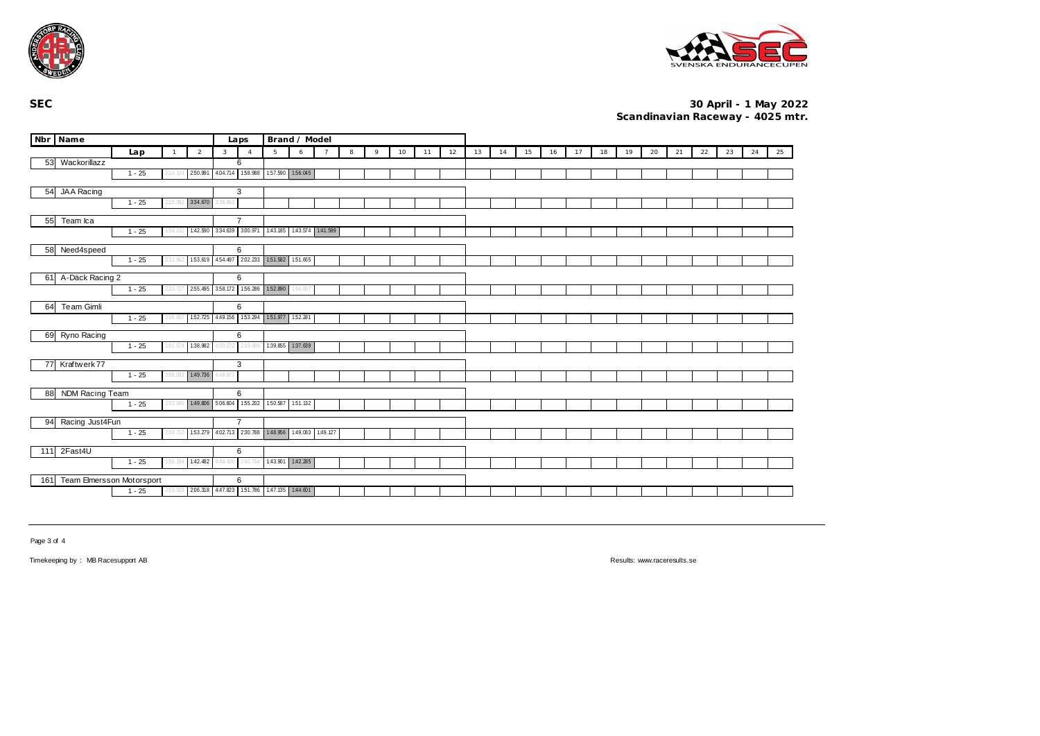



|                                              | Nbr Name                                  |                  |                   |                                                   | Laps              |                                          | Brand / Model                               |                   |                |   |   |    |    |    |    |    |    |    |    |    |    |    |    |    |    |    |    |
|----------------------------------------------|-------------------------------------------|------------------|-------------------|---------------------------------------------------|-------------------|------------------------------------------|---------------------------------------------|-------------------|----------------|---|---|----|----|----|----|----|----|----|----|----|----|----|----|----|----|----|----|
|                                              |                                           | Lap              | $\mathbf{1}$      | $\overline{2}$                                    | $\mathbf{3}$      | $\overline{A}$                           | 5                                           | 6                 | $\overline{7}$ | 8 | 9 | 10 | 11 | 12 | 13 | 14 | 15 | 16 | 17 | 18 | 19 | 20 | 21 | 22 | 23 | 24 | 25 |
|                                              | 53 Wackorillazz                           |                  |                   |                                                   |                   | 6                                        |                                             |                   |                |   |   |    |    |    |    |    |    |    |    |    |    |    |    |    |    |    |    |
|                                              |                                           | $1 - 25$         |                   |                                                   |                   |                                          | 250.991 4.04.714 1.58.988 1.57.590 1.56.045 |                   |                |   |   |    |    |    |    |    |    |    |    |    |    |    |    |    |    |    |    |
|                                              | 54 JAA Racing                             |                  |                   |                                                   |                   | 3                                        |                                             |                   |                |   |   |    |    |    |    |    |    |    |    |    |    |    |    |    |    |    |    |
|                                              |                                           | $1 - 25$         | 2:15.082          | 3:34.670                                          | 38.863            |                                          |                                             |                   |                |   |   |    |    |    |    |    |    |    |    |    |    |    |    |    |    |    |    |
| 55                                           | Team Ica                                  |                  |                   | $\overline{7}$                                    |                   |                                          |                                             |                   |                |   |   |    |    |    |    |    |    |    |    |    |    |    |    |    |    |    |    |
|                                              | $1 - 25$<br>1:42.590 3:34.639<br>1:54.23. |                  |                   |                                                   |                   | 3.00.971                                 | 1:43.185                                    | 1:43.574 1:41.599 |                |   |   |    |    |    |    |    |    |    |    |    |    |    |    |    |    |    |    |
|                                              | 58 Need4speed                             |                  |                   |                                                   | 6                 |                                          |                                             |                   |                |   |   |    |    |    |    |    |    |    |    |    |    |    |    |    |    |    |    |
|                                              |                                           | $1 - 25$         | 2:13.962          |                                                   |                   | 153.619 454.497 2.02.233                 | 1:51.582                                    | 151.665           |                |   |   |    |    |    |    |    |    |    |    |    |    |    |    |    |    |    |    |
|                                              | 61 A-Däck Racing 2                        |                  |                   |                                                   |                   | 6                                        |                                             |                   |                |   |   |    |    |    |    |    |    |    |    |    |    |    |    |    |    |    |    |
|                                              |                                           | $1 - 25$         | 2:23.727          |                                                   |                   | 2.55.495 3.58.172 1.56.286 1.52.890      |                                             | 1:54.837          |                |   |   |    |    |    |    |    |    |    |    |    |    |    |    |    |    |    |    |
| 64                                           | <b>Team Gimli</b>                         |                  |                   |                                                   | 6                 |                                          |                                             |                   |                |   |   |    |    |    |    |    |    |    |    |    |    |    |    |    |    |    |    |
|                                              |                                           | $1 - 25$         | 2:06.85           |                                                   |                   | 152.725 4:49.156 153.294 151.977 152.281 |                                             |                   |                |   |   |    |    |    |    |    |    |    |    |    |    |    |    |    |    |    |    |
|                                              |                                           |                  |                   |                                                   |                   |                                          |                                             |                   |                |   |   |    |    |    |    |    |    |    |    |    |    |    |    |    |    |    |    |
|                                              | 69 Ryno Racing                            |                  |                   |                                                   |                   | 6                                        |                                             |                   |                |   |   |    |    |    |    |    |    |    |    |    |    |    |    |    |    |    |    |
|                                              |                                           | $1 - 25$         | 1:51.574          | 1:38.982                                          | :50.272           | 2:19.999                                 |                                             | 139.855 137.639   |                |   |   |    |    |    |    |    |    |    |    |    |    |    |    |    |    |    |    |
|                                              | 77 Kraftwerk 77                           |                  |                   |                                                   |                   | 3                                        |                                             |                   |                |   |   |    |    |    |    |    |    |    |    |    |    |    |    |    |    |    |    |
|                                              |                                           | $1 - 25$         | 2:06.033          | 1:49.736                                          | 4:48.877          |                                          |                                             |                   |                |   |   |    |    |    |    |    |    |    |    |    |    |    |    |    |    |    |    |
| 88                                           | NDM Racing Team                           |                  |                   |                                                   |                   | 6                                        |                                             |                   |                |   |   |    |    |    |    |    |    |    |    |    |    |    |    |    |    |    |    |
|                                              |                                           | $1 - 25$         | 2:03.580          | 1:49.806 5:06.604                                 |                   | 155.202                                  | 150.587                                     | 151.132           |                |   |   |    |    |    |    |    |    |    |    |    |    |    |    |    |    |    |    |
| 94                                           | Racing Just4Fun                           |                  |                   |                                                   |                   | $\overline{7}$                           |                                             |                   |                |   |   |    |    |    |    |    |    |    |    |    |    |    |    |    |    |    |    |
|                                              |                                           | 153.279 4.02.713 | 2:30.768 1:48.956 |                                                   | 1:49.083 1:49.127 |                                          |                                             |                   |                |   |   |    |    |    |    |    |    |    |    |    |    |    |    |    |    |    |    |
|                                              |                                           |                  | 6                 |                                                   |                   |                                          |                                             |                   |                |   |   |    |    |    |    |    |    |    |    |    |    |    |    |    |    |    |    |
| 111 2Fast4U<br>1:42.482<br>$1 - 25$<br>1:56. |                                           |                  |                   |                                                   |                   | 2:40.734                                 | 1:43.901                                    | 1:42.285          |                |   |   |    |    |    |    |    |    |    |    |    |    |    |    |    |    |    |    |
|                                              |                                           |                  |                   |                                                   |                   |                                          |                                             |                   |                |   |   |    |    |    |    |    |    |    |    |    |    |    |    |    |    |    |    |
|                                              | 161 Team Elmersson Motorsport             |                  |                   | 6<br>2.06.318 4.47.823 1.51.786 1.47.135 1.44.601 |                   |                                          |                                             |                   |                |   |   |    |    |    |    |    |    |    |    |    |    |    |    |    |    |    |    |
|                                              |                                           | $1 - 25$         | 2:03.             |                                                   |                   |                                          |                                             |                   |                |   |   |    |    |    |    |    |    |    |    |    |    |    |    |    |    |    |    |

Page 3 of 4